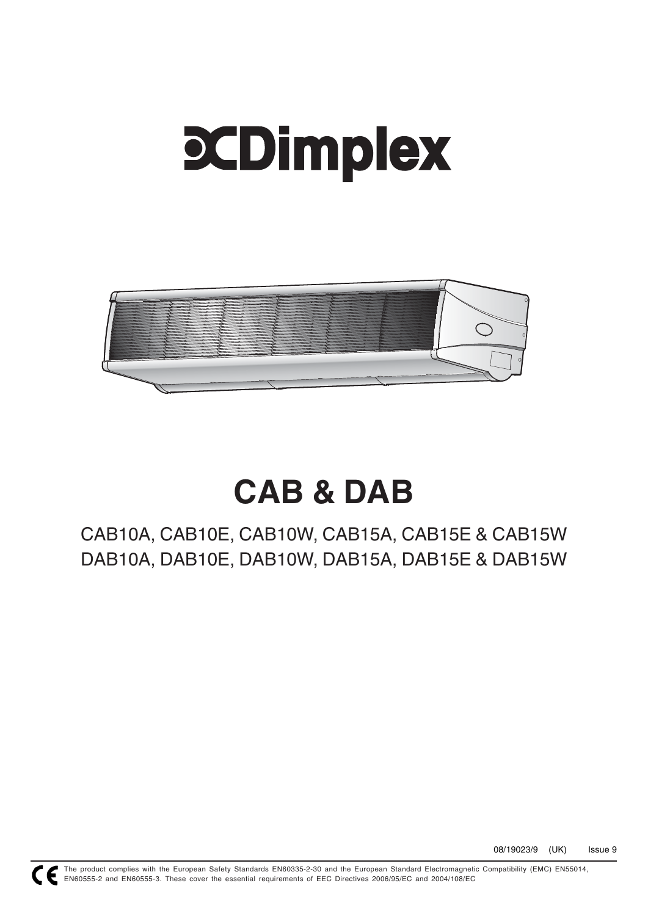# **PCDimplex**



# **CAB & DAB**

CAB10A, CAB10E, CAB10W, CAB15A, CAB15E & CAB15W DAB10A, DAB10E, DAB10W, DAB15A, DAB15E & DAB15W



The product complies with the European Safety Standards EN60335-2-30 and the European Standard Electromagnetic Compatibility (EMC) EN55014, EN60555-2 and EN60555-3. These cover the essential requirements of EEC Directives 2006/95/EC and 2004/108/EC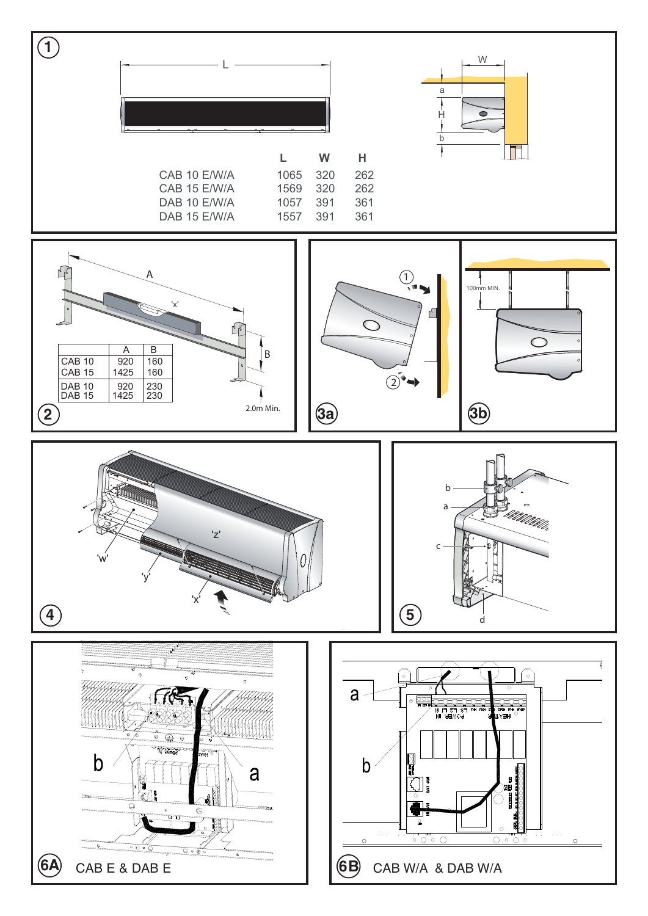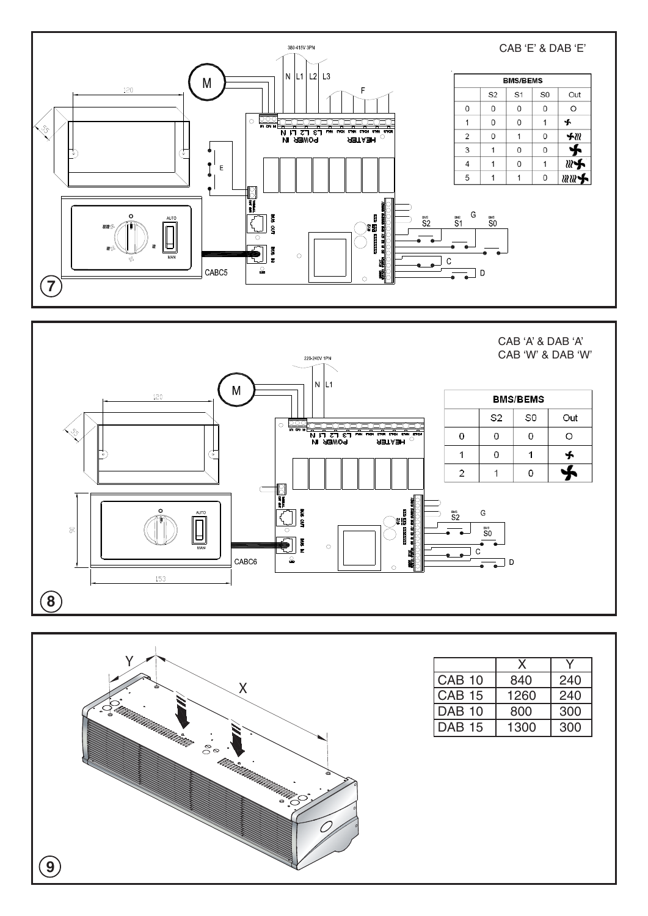





|               | X    |     |  |
|---------------|------|-----|--|
| <b>CAB 10</b> | 840  | 240 |  |
| <b>CAB 15</b> | 1260 | 240 |  |
| <b>DAB 10</b> | 800  | 300 |  |
| <b>DAB 15</b> | 1300 | 300 |  |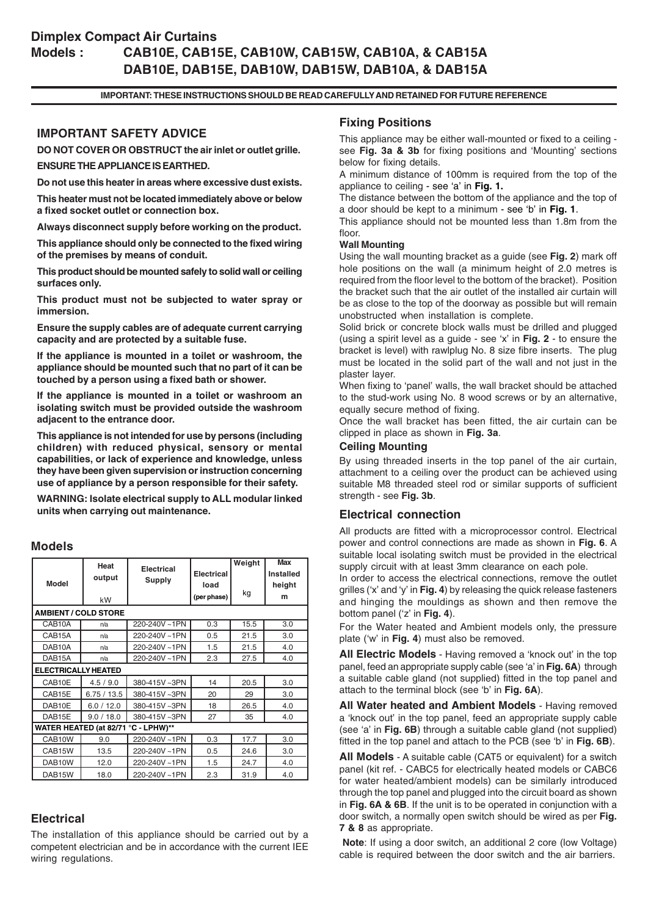# **Dimplex Compact Air Curtains Models : CAB10E, CAB15E, CAB10W, CAB15W, CAB10A, & CAB15A DAB10E, DAB15E, DAB10W, DAB15W, DAB10A, & DAB15A**

#### **IMPORTANT: THESE INSTRUCTIONS SHOULD BE READ CAREFULLY AND RETAINED FOR FUTURE REFERENCE**

# **IMPORTANT SAFETY ADVICE**

**DO NOT COVER OR OBSTRUCT the air inlet or outlet grille. ENSURE THE APPLIANCE IS EARTHED.**

**Do not use this heater in areas where excessive dust exists.**

**This heater must not be located immediately above or below a fixed socket outlet or connection box.**

**Always disconnect supply before working on the product.**

**This appliance should only be connected to the fixed wiring of the premises by means of conduit.**

**This product should be mounted safely to solid wall or ceiling surfaces only.**

**This product must not be subjected to water spray or immersion.**

**Ensure the supply cables are of adequate current carrying capacity and are protected by a suitable fuse.**

**If the appliance is mounted in a toilet or washroom, the appliance should be mounted such that no part of it can be touched by a person using a fixed bath or shower.**

**If the appliance is mounted in a toilet or washroom an isolating switch must be provided outside the washroom adjacent to the entrance door.**

**This appliance is not intended for use by persons (including children) with reduced physical, sensory or mental capabilities, or lack of experience and knowledge, unless they have been given supervision or instruction concerning use of appliance by a person responsible for their safety.**

**WARNING: Isolate electrical supply to ALL modular linked units when carrying out maintenance.**

#### **Models**

| Model                               | Heat<br>output | Electrical<br>Supply | <b>Electrical</b><br>load | Weight<br>kg | <b>Max</b><br>Installed<br>height<br>m |  |  |
|-------------------------------------|----------------|----------------------|---------------------------|--------------|----------------------------------------|--|--|
|                                     | kW             |                      | (per phase)               |              |                                        |  |  |
| <b>AMBIENT / COLD STORE</b>         |                |                      |                           |              |                                        |  |  |
| CAB10A                              | n/a            | 220-240V~1PN         | 0.3                       | 15.5         | 3.0                                    |  |  |
| CAB15A                              | n/a            | 220-240V~1PN         | 0.5                       | 21.5         | 3.0                                    |  |  |
| DAB <sub>10</sub> A                 | n/a            | 220-240V~1PN         | 1.5                       | 21.5         | 4.0                                    |  |  |
| DAB <sub>15</sub> A                 | n/a            | 220-240V~1PN         | 2.3                       | 27.5         | 4.0                                    |  |  |
| <b>ELECTRICALLY HEATED</b>          |                |                      |                           |              |                                        |  |  |
| CAB10E                              | 4.5 / 9.0      | 380-415V~3PN         | 14                        | 20.5         | 3.0                                    |  |  |
| CAB15E                              | 6.75/13.5      | 380-415V~3PN         | 20                        | 29           | 3.0                                    |  |  |
| DAB10E                              | 6.0 / 12.0     | 380-415V~3PN         | 18                        | 26.5         | 4.0                                    |  |  |
| DAB15E                              | 9.0 / 18.0     | 380-415V~3PN         | 27                        | 35           | 4.0                                    |  |  |
| WATER HEATED (at 82/71 °C - LPHW)** |                |                      |                           |              |                                        |  |  |
| CAB10W                              | 9.0            | 220-240V~1PN         | 0.3                       | 17.7         | 3.0                                    |  |  |
| CAB15W                              | 13.5           | 220-240V~1PN         | 0.5                       | 24.6         | 3.0                                    |  |  |
| DAB10W                              | 12.0           | 220-240V~1PN         | 1.5                       | 24.7         | 4.0                                    |  |  |
| DAB15W                              | 18.0           | 220-240V~1PN         | 2.3                       | 31.9         | 4.0                                    |  |  |

# **Electrical**

The installation of this appliance should be carried out by a competent electrician and be in accordance with the current IEE wiring regulations.

#### **Fixing Positions**

This appliance may be either wall-mounted or fixed to a ceiling see **Fig. 3a & 3b** for fixing positions and 'Mounting' sections below for fixing details.

A minimum distance of 100mm is required from the top of the appliance to ceiling - see 'a' in **Fig. 1.**

The distance between the bottom of the appliance and the top of a door should be kept to a minimum - see 'b' in **Fig. 1**.

This appliance should not be mounted less than 1.8m from the floor.

#### **Wall Mounting**

Using the wall mounting bracket as a guide (see **Fig. 2**) mark off hole positions on the wall (a minimum height of 2.0 metres is required from the floor level to the bottom of the bracket). Position the bracket such that the air outlet of the installed air curtain will be as close to the top of the doorway as possible but will remain unobstructed when installation is complete.

Solid brick or concrete block walls must be drilled and plugged (using a spirit level as a guide - see 'x' in **Fig. 2** - to ensure the bracket is level) with rawlplug No. 8 size fibre inserts. The plug must be located in the solid part of the wall and not just in the plaster layer.

When fixing to 'panel' walls, the wall bracket should be attached to the stud-work using No. 8 wood screws or by an alternative, equally secure method of fixing.

Once the wall bracket has been fitted, the air curtain can be clipped in place as shown in **Fig. 3a**.

#### **Ceiling Mounting**

By using threaded inserts in the top panel of the air curtain, attachment to a ceiling over the product can be achieved using suitable M8 threaded steel rod or similar supports of sufficient strength - see **Fig. 3b**.

#### **Electrical connection**

All products are fitted with a microprocessor control. Electrical power and control connections are made as shown in **Fig. 6**. A suitable local isolating switch must be provided in the electrical supply circuit with at least 3mm clearance on each pole.

In order to access the electrical connections, remove the outlet grilles ('x' and 'y' in **Fig. 4**) by releasing the quick release fasteners and hinging the mouldings as shown and then remove the bottom panel ('z' in **Fig. 4**).

For the Water heated and Ambient models only, the pressure plate ('w' in **Fig. 4**) must also be removed.

**All Electric Models** - Having removed a 'knock out' in the top panel, feed an appropriate supply cable (see 'a' in **Fig. 6A**) through a suitable cable gland (not supplied) fitted in the top panel and attach to the terminal block (see 'b' in **Fig. 6A**).

**All Water heated and Ambient Models** - Having removed a 'knock out' in the top panel, feed an appropriate supply cable (see 'a' in **Fig. 6B**) through a suitable cable gland (not supplied) fitted in the top panel and attach to the PCB (see 'b' in **Fig. 6B**).

**All Models** - A suitable cable (CAT5 or equivalent) for a switch panel (kit ref. - CABC5 for electrically heated models or CABC6 for water heated/ambient models) can be similarly introduced through the top panel and plugged into the circuit board as shown in **Fig. 6A & 6B**. If the unit is to be operated in conjunction with a door switch, a normally open switch should be wired as per **Fig. 7 & 8** as appropriate.

**Note**: If using a door switch, an additional 2 core (low Voltage) cable is required between the door switch and the air barriers.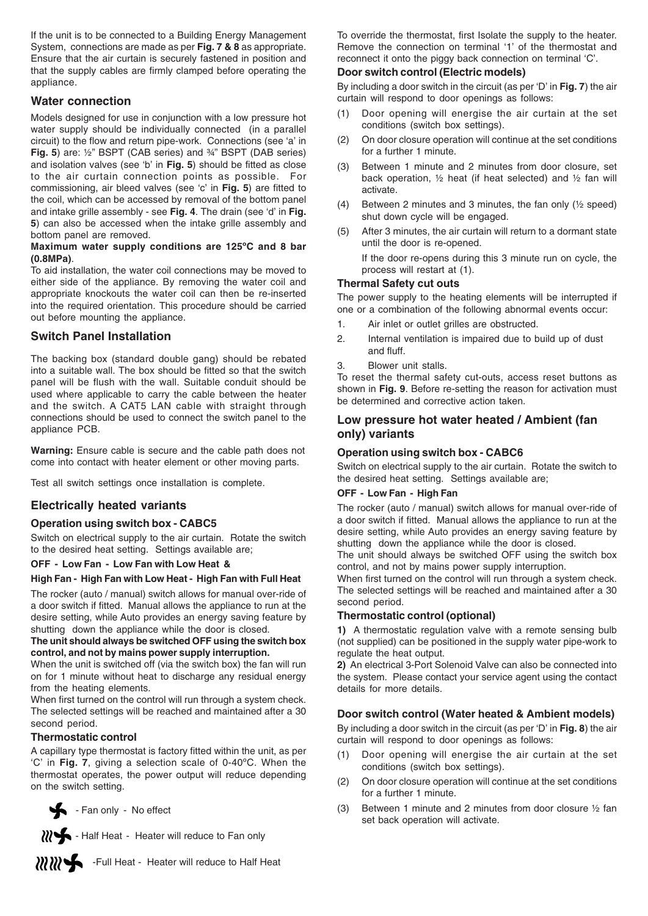If the unit is to be connected to a Building Energy Management System, connections are made as per **Fig. 7 & 8** as appropriate. Ensure that the air curtain is securely fastened in position and that the supply cables are firmly clamped before operating the appliance.

#### **Water connection**

Models designed for use in conjunction with a low pressure hot water supply should be individually connected (in a parallel circuit) to the flow and return pipe-work. Connections (see 'a' in **Fig. 5**) are: ½" BSPT (CAB series) and ¾" BSPT (DAB series) and isolation valves (see 'b' in **Fig. 5**) should be fitted as close to the air curtain connection points as possible. For commissioning, air bleed valves (see 'c' in **Fig. 5**) are fitted to the coil, which can be accessed by removal of the bottom panel and intake grille assembly - see **Fig. 4**. The drain (see 'd' in **Fig. 5**) can also be accessed when the intake grille assembly and bottom panel are removed.

#### **Maximum water supply conditions are 125ºC and 8 bar (0.8MPa)**.

To aid installation, the water coil connections may be moved to either side of the appliance. By removing the water coil and appropriate knockouts the water coil can then be re-inserted into the required orientation. This procedure should be carried out before mounting the appliance.

# **Switch Panel Installation**

The backing box (standard double gang) should be rebated into a suitable wall. The box should be fitted so that the switch panel will be flush with the wall. Suitable conduit should be used where applicable to carry the cable between the heater and the switch. A CAT5 LAN cable with straight through connections should be used to connect the switch panel to the appliance PCB.

**Warning:** Ensure cable is secure and the cable path does not come into contact with heater element or other moving parts.

Test all switch settings once installation is complete.

# **Electrically heated variants**

#### **Operation using switch box - CABC5**

Switch on electrical supply to the air curtain. Rotate the switch to the desired heat setting. Settings available are;

#### **OFF - Low Fan - Low Fan with Low Heat &**

#### **High Fan - High Fan with Low Heat - High Fan with Full Heat**

The rocker (auto / manual) switch allows for manual over-ride of a door switch if fitted. Manual allows the appliance to run at the desire setting, while Auto provides an energy saving feature by shutting down the appliance while the door is closed.

**The unit should always be switched OFF using the switch box control, and not by mains power supply interruption.**

When the unit is switched off (via the switch box) the fan will run on for 1 minute without heat to discharge any residual energy from the heating elements.

When first turned on the control will run through a system check. The selected settings will be reached and maintained after a 30 second period.

#### **Thermostatic control**

A capillary type thermostat is factory fitted within the unit, as per 'C' in **Fig. 7**, giving a selection scale of 0-40ºC. When the thermostat operates, the power output will reduce depending on the switch setting.

- Fan only - No effect



Half Heat - Heater will reduce to Fan only

11111 -Full Heat - Heater will reduce to Half Heat

To override the thermostat, first Isolate the supply to the heater. Remove the connection on terminal '1' of the thermostat and reconnect it onto the piggy back connection on terminal 'C'.

#### **Door switch control (Electric models)**

By including a door switch in the circuit (as per 'D' in **Fig. 7**) the air curtain will respond to door openings as follows:

- (1) Door opening will energise the air curtain at the set conditions (switch box settings).
- (2) On door closure operation will continue at the set conditions for a further 1 minute.
- (3) Between 1 minute and 2 minutes from door closure, set back operation, ½ heat (if heat selected) and ½ fan will activate.
- (4) Between 2 minutes and 3 minutes, the fan only (½ speed) shut down cycle will be engaged.
- (5) After 3 minutes, the air curtain will return to a dormant state until the door is re-opened.

If the door re-opens during this 3 minute run on cycle, the process will restart at (1).

#### **Thermal Safety cut outs**

The power supply to the heating elements will be interrupted if one or a combination of the following abnormal events occur:

- 1. Air inlet or outlet grilles are obstructed.
- 2. Internal ventilation is impaired due to build up of dust and fluff.
- 3. Blower unit stalls.

To reset the thermal safety cut-outs, access reset buttons as shown in **Fig. 9**. Before re-setting the reason for activation must be determined and corrective action taken.

#### **Low pressure hot water heated / Ambient (fan only) variants**

#### **Operation using switch box - CABC6**

Switch on electrical supply to the air curtain. Rotate the switch to the desired heat setting. Settings available are;

#### **OFF - Low Fan - High Fan**

The rocker (auto / manual) switch allows for manual over-ride of a door switch if fitted. Manual allows the appliance to run at the desire setting, while Auto provides an energy saving feature by shutting down the appliance while the door is closed.

The unit should always be switched OFF using the switch box control, and not by mains power supply interruption.

When first turned on the control will run through a system check. The selected settings will be reached and maintained after a 30 second period.

#### **Thermostatic control (optional)**

**1)** A thermostatic regulation valve with a remote sensing bulb (not supplied) can be positioned in the supply water pipe-work to regulate the heat output.

**2)** An electrical 3-Port Solenoid Valve can also be connected into the system. Please contact your service agent using the contact details for more details.

# **Door switch control (Water heated & Ambient models)**

By including a door switch in the circuit (as per 'D' in **Fig. 8**) the air curtain will respond to door openings as follows:

- (1) Door opening will energise the air curtain at the set conditions (switch box settings).
- (2) On door closure operation will continue at the set conditions for a further 1 minute.
- (3) Between 1 minute and 2 minutes from door closure ½ fan set back operation will activate.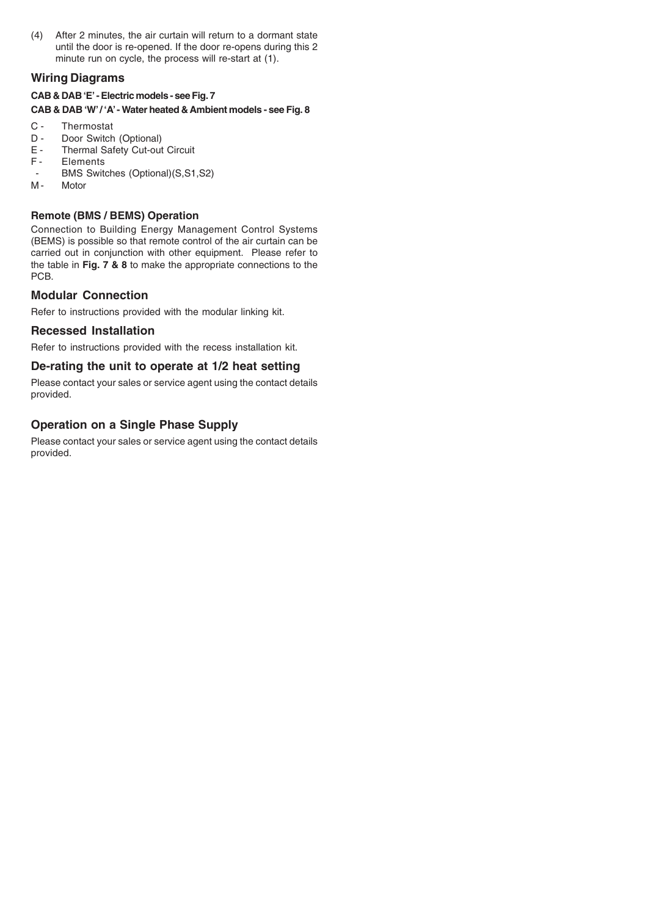(4) After 2 minutes, the air curtain will return to a dormant state until the door is re-opened. If the door re-opens during this 2 minute run on cycle, the process will re-start at (1).

# **Wiring Diagrams**

# **CAB & DAB 'E' - Electric models - see Fig. 7**

#### **CAB & DAB 'W' / 'A' - Water heated & Ambient models - see Fig. 8**

- C Thermostat<br>D Door Switch
- D Door Switch (Optional)<br>E Thermal Safety Cut-out
- E Thermal Safety Cut-out Circuit<br>F Elements
- **Elements**
- BMS Switches (Optional)(S,S1,S2)<br>M- Motor
- **Motor**

# **Remote (BMS / BEMS) Operation**

Connection to Building Energy Management Control Systems (BEMS) is possible so that remote control of the air curtain can be carried out in conjunction with other equipment. Please refer to the table in **Fig. 7 & 8** to make the appropriate connections to the PCB.

# **Modular Connection**

Refer to instructions provided with the modular linking kit.

# **Recessed Installation**

Refer to instructions provided with the recess installation kit.

# **De-rating the unit to operate at 1/2 heat setting**

Please contact your sales or service agent using the contact details provided.

# **Operation on a Single Phase Supply**

Please contact your sales or service agent using the contact details provided.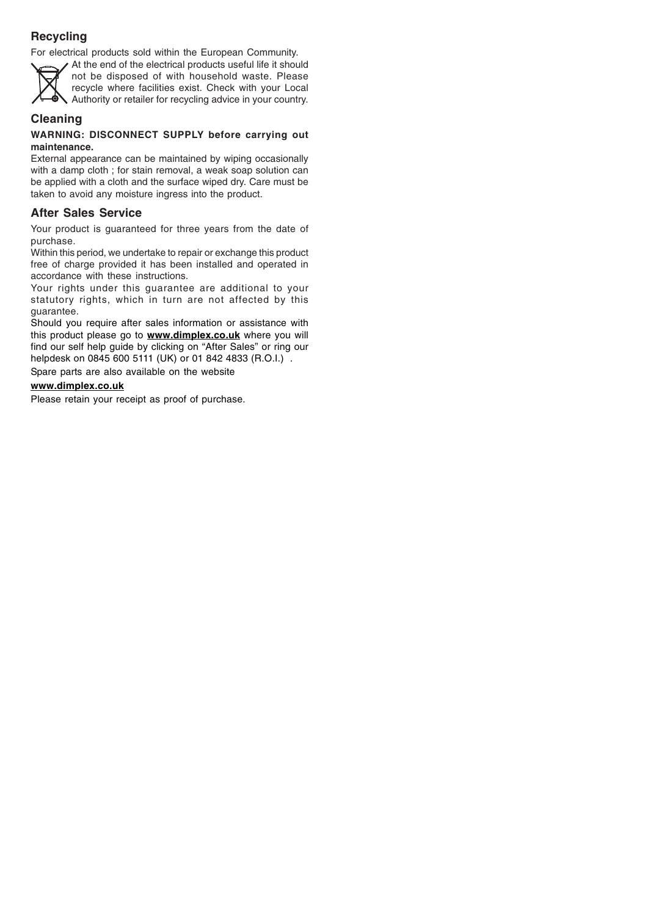# **Recycling**

For electrical products sold within the European Community.



At the end of the electrical products useful life it should not be disposed of with household waste. Please recycle where facilities exist. Check with your Local Authority or retailer for recycling advice in your country.

# **Cleaning**

#### **WARNING: DISCONNECT SUPPLY before carrying out maintenance.**

External appearance can be maintained by wiping occasionally with a damp cloth ; for stain removal, a weak soap solution can be applied with a cloth and the surface wiped dry. Care must be taken to avoid any moisture ingress into the product.

# **After Sales Service**

Your product is guaranteed for three years from the date of purchase.

Within this period, we undertake to repair or exchange this product free of charge provided it has been installed and operated in accordance with these instructions.

Your rights under this guarantee are additional to your statutory rights, which in turn are not affected by this guarantee.

Should you require after sales information or assistance with this product please go to **www.dimplex.co.uk** where you will find our self help guide by clicking on "After Sales" or ring our helpdesk on 0845 600 5111 (UK) or 01 842 4833 (R.O.I.).

Spare parts are also available on the website

# **www.dimplex.co.uk**

Please retain your receipt as proof of purchase.